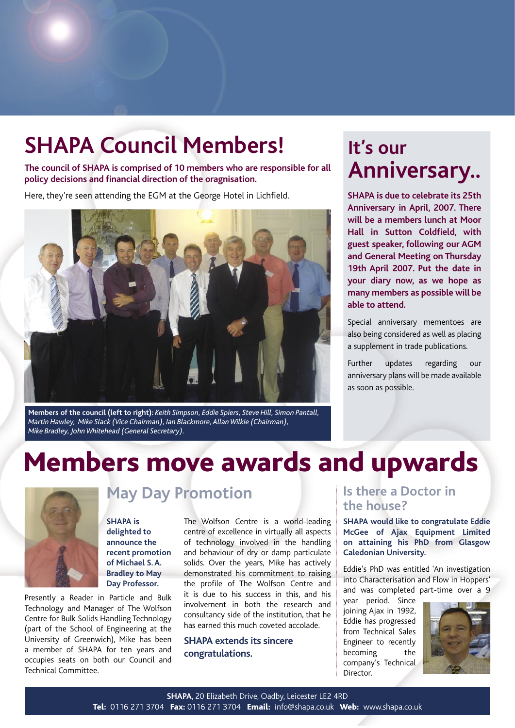## **SHAPA Council Members!**

**The council of SHAPA is comprised of 10 members who are responsible for all policy decisions and financial direction of the oragnisation.**

Here, they're seen attending the EGM at the George Hotel in Lichfield.



**Members of the council (left to right):** *Keith Simpson, Eddie Spiers, Steve Hill, Simon Pantall, Martin Hawley, Mike Slack (Vice Chairman), Ian Blackmore, Allan Wilkie (Chairman), Mike Bradley, John Whitehead (General Secretary).* 

### **It's our Anniversary..**

**SHAPA is due to celebrate its 25th Anniversary in April, 2007. There will be a members lunch at Moor Hall in Sutton Coldfield, with guest speaker, following our AGM and General Meeting on Thursday 19th April 2007. Put the date in your diary now, as we hope as many members as possible will be able to attend.** 

Special anniversary mementoes are also being considered as well as placing a supplement in trade publications.

Further updates regarding our anniversary plans will be made available as soon as possible.

# Members move awards and upwards



### **May Day Promotion**

**SHAPA is delighted to announce the recent promotion of Michael S. A. Bradley to May Day Professor.** 

Presently a Reader in Particle and Bulk Technology and Manager of The Wolfson Centre for Bulk Solids Handling Technology (part of the School of Engineering at the University of Greenwich), Mike has been a member of SHAPA for ten years and occupies seats on both our Council and Technical Committee.

The Wolfson Centre is a world-leading centre of excellence in virtually all aspects of technology involved in the handling and behaviour of dry or damp particulate solids. Over the years, Mike has actively demonstrated his commitment to raising the profile of The Wolfson Centre and it is due to his success in this, and his involvement in both the research and consultancy side of the institution, that he has earned this much coveted accolade.

### **SHAPA extends its sincere congratulations.**

### **Is there a Doctor in the house?**

**SHAPA would like to congratulate Eddie McGee of Ajax Equipment Limited on attaining his PhD from Glasgow Caledonian University.**

Eddie's PhD was entitled 'An investigation into Characterisation and Flow in Hoppers' and was completed part-time over a 9

year period. Since joining Ajax in 1992, Eddie has progressed from Technical Sales Engineer to recently becoming the company's Technical Director.

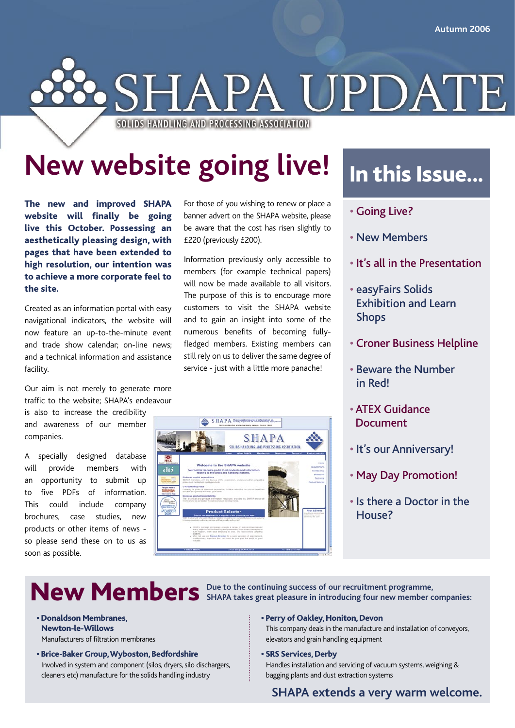

# **New website going live!**

The new and improved SHAPA website will finally be going live this October. Possessing an aesthetically pleasing design, with pages that have been extended to high resolution, our intention was to achieve a more corporate feel to the site.

Created as an information portal with easy navigational indicators, the website will now feature an up-to-the-minute event and trade show calendar; on-line news; and a technical information and assistance facility.

Our aim is not merely to generate more traffic to the website; SHAPA's endeavour

is also to increase the credibility and awareness of our member companies.

A specially designed database will provide members with an opportunity to submit up to five PDFs of information. This could include company brochures, case studies, new products or other items of news so please send these on to us as soon as possible.

For those of you wishing to renew or place a banner advert on the SHAPA website, please be aware that the cost has risen slightly to £220 (previously £200).

Information previously only accessible to members (for example technical papers) will now be made available to all visitors. The purpose of this is to encourage more customers to visit the SHAPA website and to gain an insight into some of the numerous benefits of becoming fullyfledged members. Existing members can still rely on us to deliver the same degree of service - just with a little more panache!



## In this Issue...

- Going Live?
- New Members
- It's all in the Presentation
- easyFairs Solids Exhibition and Learn Shops
- Croner Business Helpline
- Beware the Number in Red!
- ATEX Guidance Document
- It's our Anniversary!
- May Day Promotion!
- Is there a Doctor in the House?

New Members **Due to the continuing success of our recruitment programme**,  $\mathbf{S}$  SHAPA takes great pleasure in introducing four new member companies:

- Donaldson Membranes, Newton-le-Willows Manufacturers of filtration membranes
- Brice-Baker Group, Wyboston, Bedfordshire Involved in system and component (silos, dryers, silo dischargers, cleaners etc) manufacture for the solids handling industry
- Perry of Oakley, Honiton, Devon This company deals in the manufacture and installation of conveyors, elevators and grain handling equipment
- SRS Services, Derby

Handles installation and servicing of vacuum systems, weighing & bagging plants and dust extraction systems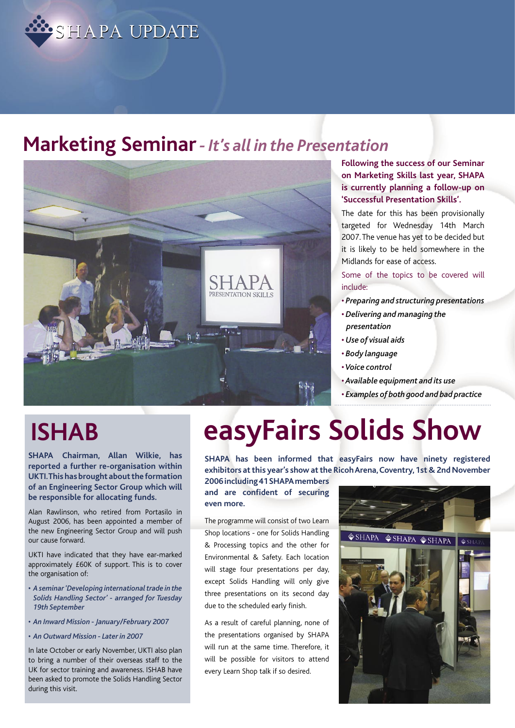

### **Marketing Seminar** *- It's all in the Presentation*



### **Following the success of our Seminar on Marketing Skills last year, SHAPA is currently planning a follow-up on 'Successful Presentation Skills'.**

The date for this has been provisionally targeted for Wednesday 14th March 2007. The venue has yet to be decided but it is likely to be held somewhere in the Midlands for ease of access.

Some of the topics to be covered will include:

- *Preparing and structuring presentations • Delivering and managing the presentation*
- *Use of visual aids*
- *Body language*
- *Voice control*
- *Available equipment and its use*
- *• Examples of both good and bad practice*

**SHAPA Chairman, Allan Wilkie, has reported a further re-organisation within UKTI. This has brought about the formation of an Engineering Sector Group which will be responsible for allocating funds.** 

Alan Rawlinson, who retired from Portasilo in August 2006, has been appointed a member of the new Engineering Sector Group and will push our cause forward.

UKTI have indicated that they have ear-marked approximately £60K of support. This is to cover the organisation of:

- *A seminar 'Developing international trade in the Solids Handling Sector' - arranged for Tuesday 19th September*
- *An Inward Mission January/February 2007*
- *An Outward Mission Later in 2007*

In late October or early November, UKTI also plan to bring a number of their overseas staff to the UK for sector training and awareness. ISHAB have been asked to promote the Solids Handling Sector during this visit.

# **ISHAB easyFairs Solids Show**

**SHAPA has been informed that easyFairs now have ninety registered exhibitors at this year's show at the Ricoh Arena, Coventry, 1st & 2nd November** 

**2006 including 41 SHAPA members and are confident of securing even more.**

The programme will consist of two Learn Shop locations - one for Solids Handling & Processing topics and the other for Environmental & Safety. Each location will stage four presentations per day, except Solids Handling will only give three presentations on its second day due to the scheduled early finish.

As a result of careful planning, none of the presentations organised by SHAPA will run at the same time. Therefore, it will be possible for visitors to attend every Learn Shop talk if so desired.